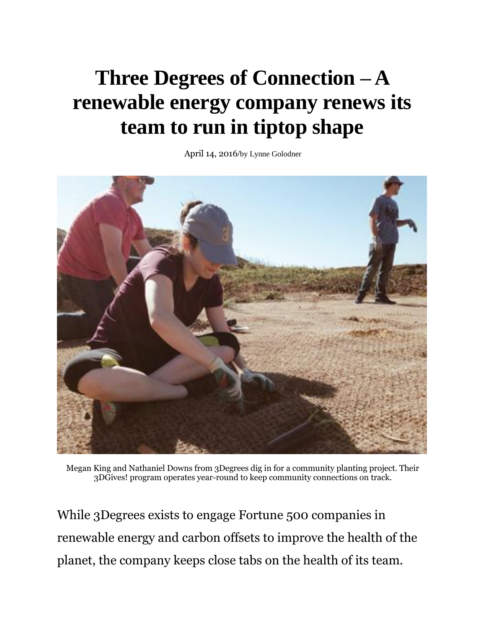## **Three Degrees of [Connection](http://www.corpmagazine.com/human-resources/three-degrees-of-connection-a-renewable-energy-company-renews-its-team-to-run-in-tiptop-shape/) – A [renewable](http://www.corpmagazine.com/human-resources/three-degrees-of-connection-a-renewable-energy-company-renews-its-team-to-run-in-tiptop-shape/) energy company renews its team to run in [tiptop](http://www.corpmagazine.com/human-resources/three-degrees-of-connection-a-renewable-energy-company-renews-its-team-to-run-in-tiptop-shape/) shape**

April 14, 2016/by Lynne [Golodner](http://www.corpmagazine.com/author/lynng/)



Megan King and Nathaniel Downs from 3Degrees dig in for a community planting project. Their 3DGives! program operates year-round to keep community connections on track.

While 3Degrees exists to engage Fortune 500 companies in renewable energy and carbon offsets to improve the health of the planet, the company keeps close tabs on the health of its team.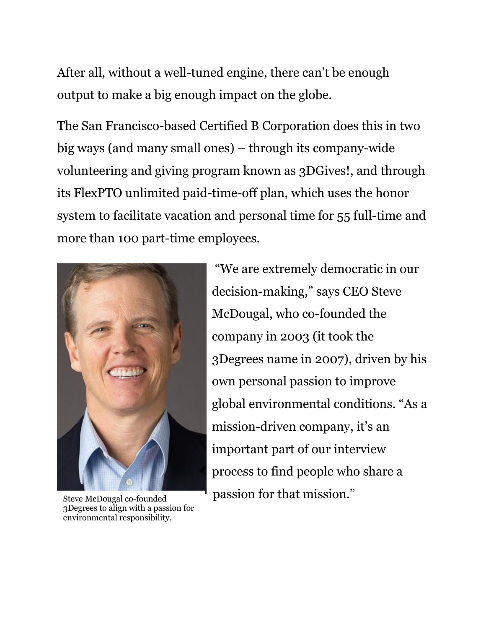After all, without a well-tuned engine, there can't be enough output to make a big enough impact on the globe.

The San Francisco-based Certified B Corporation does this in two big ways (and many small ones) – through its company-wide volunteering and giving program known as 3DGives!, and through its FlexPTO unlimited paid-time-off plan, which uses the honor system to facilitate vacation and personal time for 55 full-time and more than 100 part-time employees.



3Degrees to align with a passion for environmental responsibility.

"We are extremely democratic in our decision-making," says CEO Steve McDougal, who co-founded the company in 2003 (it took the 3Degrees name in 2007), driven by his own personal passion to improve global environmental conditions. "As a mission-driven company, it's an important part of our interview process to find people who share a passion for that mission." Steve McDougal co-founded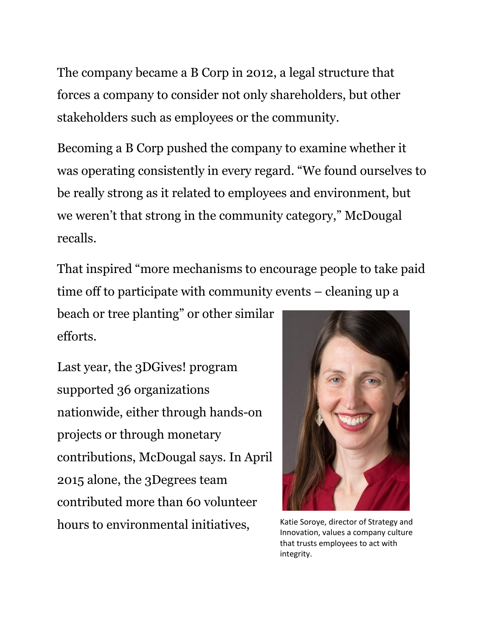The company became a B Corp in 2012, a legal structure that forces a company to consider not only shareholders, but other stakeholders such as employees or the community.

Becoming a B Corp pushed the company to examine whether it was operating consistently in every regard. "We found ourselves to be really strong as it related to employees and environment, but we weren't that strong in the community category," McDougal recalls.

That inspired "more mechanisms to encourage people to take paid time off to participate with community events – cleaning up a

beach or tree planting" or other similar efforts.

Last year, the 3DGives! program supported 36 organizations nationwide, either through hands-on projects or through monetary contributions, McDougal says. In April 2015 alone, the 3Degrees team contributed more than 60 volunteer hours to environmental initiatives, Katie Soroye, director of Strategy and



Innovation, values a company culture that trusts employees to act with integrity.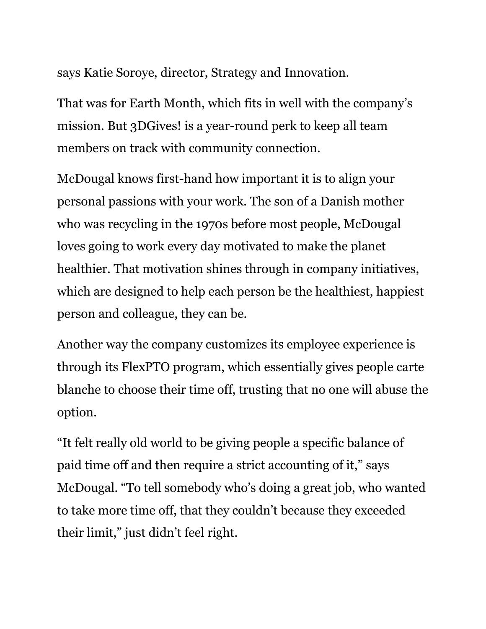says Katie Soroye, director, Strategy and Innovation.

That was for Earth Month, which fits in well with the company's mission. But 3DGives! is a year-round perk to keep all team members on track with community connection.

McDougal knows first-hand how important it is to align your personal passions with your work. The son of a Danish mother who was recycling in the 1970s before most people, McDougal loves going to work every day motivated to make the planet healthier. That motivation shines through in company initiatives, which are designed to help each person be the healthiest, happiest person and colleague, they can be.

Another way the company customizes its employee experience is through its FlexPTO program, which essentially gives people carte blanche to choose their time off, trusting that no one will abuse the option.

"It felt really old world to be giving people a specific balance of paid time off and then require a strict accounting of it," says McDougal. "To tell somebody who's doing a great job, who wanted to take more time off, that they couldn't because they exceeded their limit," just didn't feel right.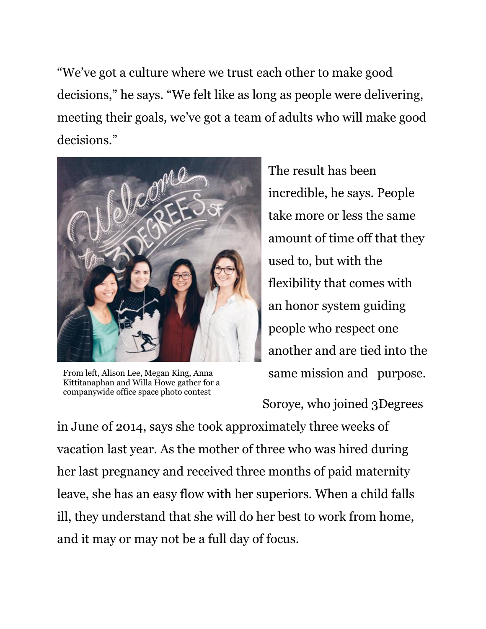"We've got a culture where we trust each other to make good decisions," he says. "We felt like as long as people were delivering, meeting their goals, we've got a team of adults who will make good decisions."



From left, Alison Lee, Megan King, Anna Kittitanaphan and Willa Howe gather for a companywide office space photo contest

The result has been incredible, he says. People take more or less the same amount of time off that they used to, but with the flexibility that comes with an honor system guiding people who respect one another and are tied into the same mission and purpose.

Soroye, who joined 3Degrees

in June of 2014, says she took approximately three weeks of vacation last year. As the mother of three who was hired during her last pregnancy and received three months of paid maternity leave, she has an easy flow with her superiors. When a child falls ill, they understand that she will do her best to work from home, and it may or may not be a full day of focus.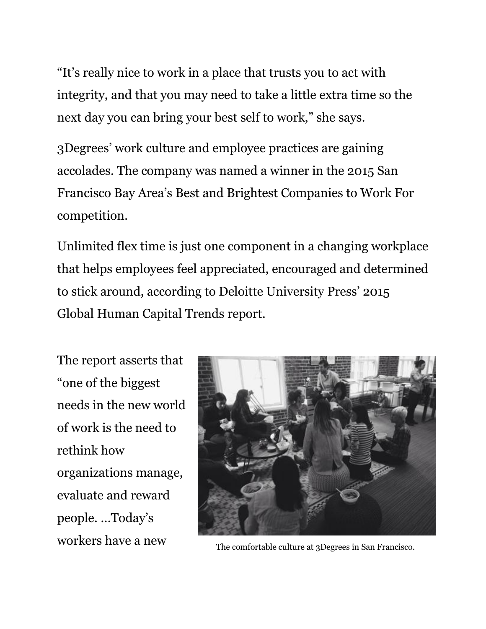"It's really nice to work in a place that trusts you to act with integrity, and that you may need to take a little extra time so the next day you can bring your best self to work," she says.

3Degrees' work culture and employee practices are gaining accolades. The company was named a winner in the 2015 San Francisco Bay Area's Best and Brightest Companies to Work For competition.

Unlimited flex time is just one component in a changing workplace that helps employees feel appreciated, encouraged and determined to stick around, according to Deloitte University Press' 2015 Global Human Capital Trends report.

The report asserts that "one of the biggest needs in the new world of work is the need to rethink how organizations manage, evaluate and reward people. …Today's



workers have a new The comfortable culture at 3Degrees in San Francisco.